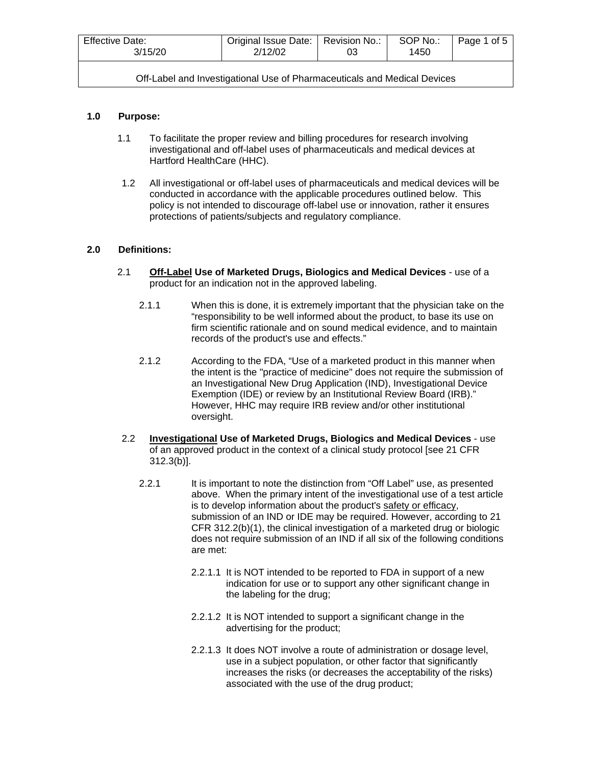| <b>Effective Date:</b><br>3/15/20                                        | Original Issue Date:   Revision No.:<br>2/12/02 | 03 | SOP No.:<br>1450 | Page 1 of 5 |  |
|--------------------------------------------------------------------------|-------------------------------------------------|----|------------------|-------------|--|
| Off-Label and Investigational Use of Pharmaceuticals and Medical Devices |                                                 |    |                  |             |  |

## **1.0 Purpose:**

- 1.1 To facilitate the proper review and billing procedures for research involving investigational and off-label uses of pharmaceuticals and medical devices at Hartford HealthCare (HHC).
- 1.2 All investigational or off-label uses of pharmaceuticals and medical devices will be conducted in accordance with the applicable procedures outlined below.This policy is not intended to discourage off-label use or innovation, rather it ensures protections of patients/subjects and regulatory compliance.

## **2.0 Definitions:**

- 2.1 **Off-Label Use of Marketed Drugs, Biologics and Medical Devices** use of a product for an indication not in the approved labeling.
	- 2.1.1 When this is done, it is extremely important that the physician take on the "responsibility to be well informed about the product, to base its use on firm scientific rationale and on sound medical evidence, and to maintain records of the product's use and effects."
	- 2.1.2 According to the FDA, "Use of a marketed product in this manner when the intent is the "practice of medicine" does not require the submission of an Investigational New Drug Application (IND), Investigational Device Exemption (IDE) or review by an Institutional Review Board (IRB)." However, HHC may require IRB review and/or other institutional oversight.
- 2.2 **Investigational Use of Marketed Drugs, Biologics and Medical Devices** use of an approved product in the context of a clinical study protocol [see 21 CFR 312.3(b)].
	- 2.2.1 It is important to note the distinction from "Off Label" use, as presented above. When the primary intent of the investigational use of a test article is to develop information about the product's safety or efficacy, submission of an IND or IDE may be required. However, according to 21 CFR 312.2(b)(1), the clinical investigation of a marketed drug or biologic does not require submission of an IND if all six of the following conditions are met:
		- 2.2.1.1 It is NOT intended to be reported to FDA in support of a new indication for use or to support any other significant change in the labeling for the drug;
		- 2.2.1.2 It is NOT intended to support a significant change in the advertising for the product;
		- 2.2.1.3 It does NOT involve a route of administration or dosage level, use in a subject population, or other factor that significantly increases the risks (or decreases the acceptability of the risks) associated with the use of the drug product;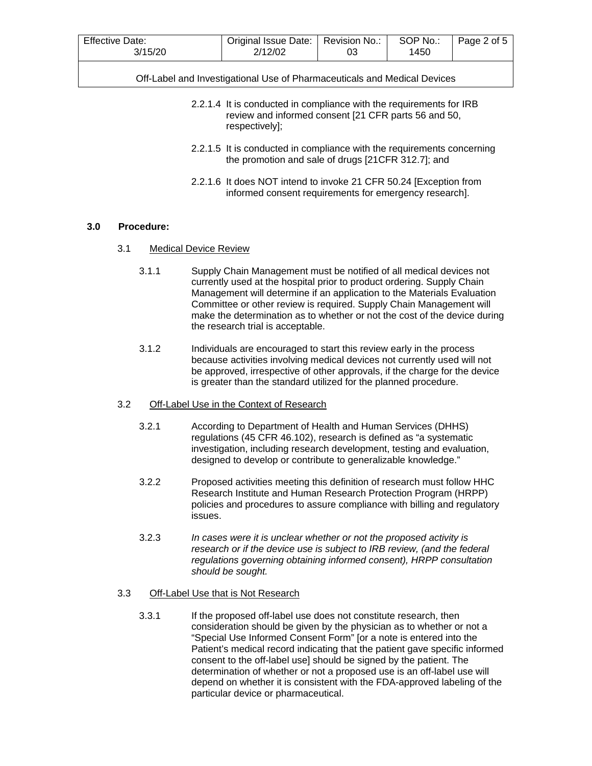| <b>Effective Date:</b><br>3/15/20 | Original Issue Date:   Revision No.:<br>2/12/02 | 03 | SOP No.:<br>1450 | Page 2 of 5 |
|-----------------------------------|-------------------------------------------------|----|------------------|-------------|
|-----------------------------------|-------------------------------------------------|----|------------------|-------------|

- 2.2.1.4 It is conducted in compliance with the requirements for IRB review and informed consent [21 CFR parts 56 and 50, respectively];
- 2.2.1.5 It is conducted in compliance with the requirements concerning the promotion and sale of drugs [21CFR 312.7]; and
- 2.2.1.6 It does NOT intend to invoke 21 CFR 50.24 [Exception from informed consent requirements for emergency research].

## **3.0 Procedure:**

- 3.1 Medical Device Review
	- 3.1.1 Supply Chain Management must be notified of all medical devices not currently used at the hospital prior to product ordering. Supply Chain Management will determine if an application to the Materials Evaluation Committee or other review is required. Supply Chain Management will make the determination as to whether or not the cost of the device during the research trial is acceptable.
	- 3.1.2 Individuals are encouraged to start this review early in the process because activities involving medical devices not currently used will not be approved, irrespective of other approvals, if the charge for the device is greater than the standard utilized for the planned procedure.

## 3.2 Off-Label Use in the Context of Research

- 3.2.1 According to Department of Health and Human Services (DHHS) regulations (45 CFR 46.102), research is defined as "a systematic investigation, including research development, testing and evaluation, designed to develop or contribute to generalizable knowledge."
- 3.2.2 Proposed activities meeting this definition of research must follow HHC Research Institute and Human Research Protection Program (HRPP) policies and procedures to assure compliance with billing and regulatory issues.
- 3.2.3 *In cases were it is unclear whether or not the proposed activity is research or if the device use is subject to IRB review, (and the federal regulations governing obtaining informed consent), HRPP consultation should be sought.*

#### 3.3 Off-Label Use that is Not Research

3.3.1 If the proposed off-label use does not constitute research, then consideration should be given by the physician as to whether or not a "Special Use Informed Consent Form" [or a note is entered into the Patient's medical record indicating that the patient gave specific informed consent to the off-label use] should be signed by the patient. The determination of whether or not a proposed use is an off-label use will depend on whether it is consistent with the FDA-approved labeling of the particular device or pharmaceutical.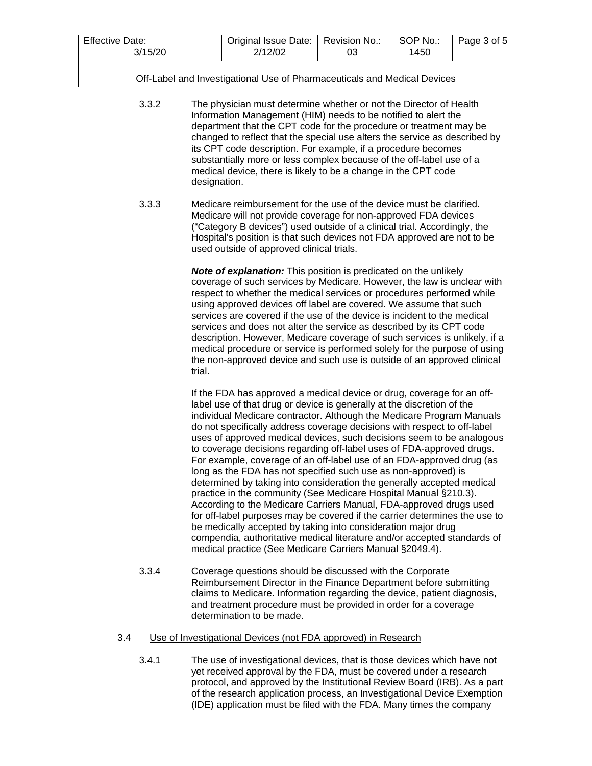| <b>Effective Date:</b> | Original Issue Date:   Revision No.: | SOP No.: | Page 3 of 5 |
|------------------------|--------------------------------------|----------|-------------|
| 3/15/20                | 2/12/02                              | 1450     |             |

- 3.3.2 The physician must determine whether or not the Director of Health Information Management (HIM) needs to be notified to alert the department that the CPT code for the procedure or treatment may be changed to reflect that the special use alters the service as described by its CPT code description. For example, if a procedure becomes substantially more or less complex because of the off-label use of a medical device, there is likely to be a change in the CPT code designation.
- 3.3.3 Medicare reimbursement for the use of the device must be clarified. Medicare will not provide coverage for non-approved FDA devices ("Category B devices") used outside of a clinical trial. Accordingly, the Hospital's position is that such devices not FDA approved are not to be used outside of approved clinical trials.

*Note of explanation:* This position is predicated on the unlikely coverage of such services by Medicare. However, the law is unclear with respect to whether the medical services or procedures performed while using approved devices off label are covered. We assume that such services are covered if the use of the device is incident to the medical services and does not alter the service as described by its CPT code description. However, Medicare coverage of such services is unlikely, if a medical procedure or service is performed solely for the purpose of using the non-approved device and such use is outside of an approved clinical trial.

If the FDA has approved a medical device or drug, coverage for an offlabel use of that drug or device is generally at the discretion of the individual Medicare contractor. Although the Medicare Program Manuals do not specifically address coverage decisions with respect to off-label uses of approved medical devices, such decisions seem to be analogous to coverage decisions regarding off-label uses of FDA-approved drugs. For example, coverage of an off-label use of an FDA-approved drug (as long as the FDA has not specified such use as non-approved) is determined by taking into consideration the generally accepted medical practice in the community (See Medicare Hospital Manual §210.3). According to the Medicare Carriers Manual, FDA-approved drugs used for off-label purposes may be covered if the carrier determines the use to be medically accepted by taking into consideration major drug compendia, authoritative medical literature and/or accepted standards of medical practice (See Medicare Carriers Manual §2049.4).

3.3.4 Coverage questions should be discussed with the Corporate Reimbursement Director in the Finance Department before submitting claims to Medicare. Information regarding the device, patient diagnosis, and treatment procedure must be provided in order for a coverage determination to be made.

# 3.4 Use of Investigational Devices (not FDA approved) in Research

3.4.1 The use of investigational devices, that is those devices which have not yet received approval by the FDA, must be covered under a research protocol, and approved by the Institutional Review Board (IRB). As a part of the research application process, an Investigational Device Exemption (IDE) application must be filed with the FDA. Many times the company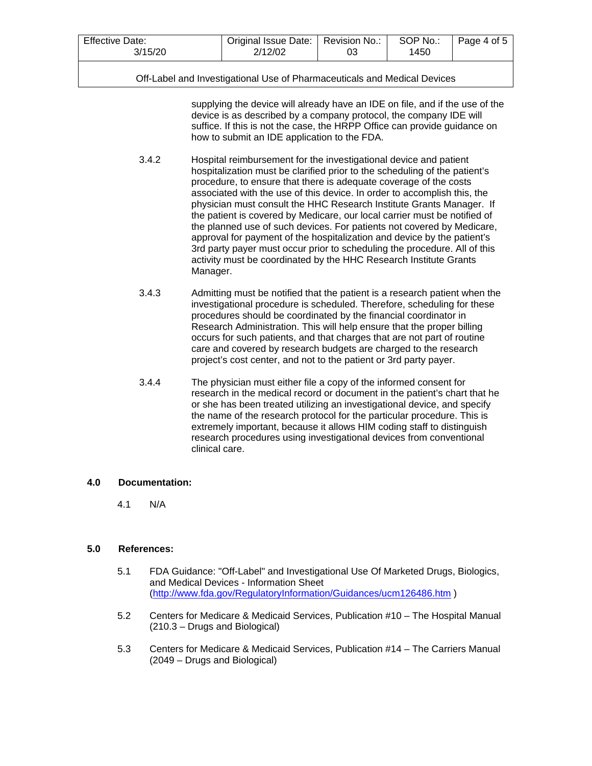| <b>Effective Date:</b> | Original Issue Date:   Revision No.: |    | SOP No.: | Page 4 of 5 |
|------------------------|--------------------------------------|----|----------|-------------|
| 3/15/20                | 2/12/02                              | 03 | 1450     |             |

supplying the device will already have an IDE on file, and if the use of the device is as described by a company protocol, the company IDE will suffice. If this is not the case, the HRPP Office can provide guidance on how to submit an IDE application to the FDA.

- 3.4.2 Hospital reimbursement for the investigational device and patient hospitalization must be clarified prior to the scheduling of the patient's procedure, to ensure that there is adequate coverage of the costs associated with the use of this device. In order to accomplish this, the physician must consult the HHC Research Institute Grants Manager. If the patient is covered by Medicare, our local carrier must be notified of the planned use of such devices. For patients not covered by Medicare, approval for payment of the hospitalization and device by the patient's 3rd party payer must occur prior to scheduling the procedure. All of this activity must be coordinated by the HHC Research Institute Grants Manager.
- 3.4.3 Admitting must be notified that the patient is a research patient when the investigational procedure is scheduled. Therefore, scheduling for these procedures should be coordinated by the financial coordinator in Research Administration. This will help ensure that the proper billing occurs for such patients, and that charges that are not part of routine care and covered by research budgets are charged to the research project's cost center, and not to the patient or 3rd party payer.
- 3.4.4 The physician must either file a copy of the informed consent for research in the medical record or document in the patient's chart that he or she has been treated utilizing an investigational device, and specify the name of the research protocol for the particular procedure. This is extremely important, because it allows HIM coding staff to distinguish research procedures using investigational devices from conventional clinical care.

# **4.0 Documentation:**

4.1 N/A

# **5.0 References:**

- 5.1 FDA Guidance: "Off-Label" and Investigational Use Of Marketed Drugs, Biologics, and Medical Devices - Information Sheet [\(http://www.fda.gov/RegulatoryInformation/Guidances/ucm126486.htm](http://www.fda.gov/RegulatoryInformation/Guidances/ucm126486.htm) )
- 5.2 Centers for Medicare & Medicaid Services, Publication #10 The Hospital Manual (210.3 – Drugs and Biological)
- 5.3 Centers for Medicare & Medicaid Services, Publication #14 The Carriers Manual (2049 – Drugs and Biological)